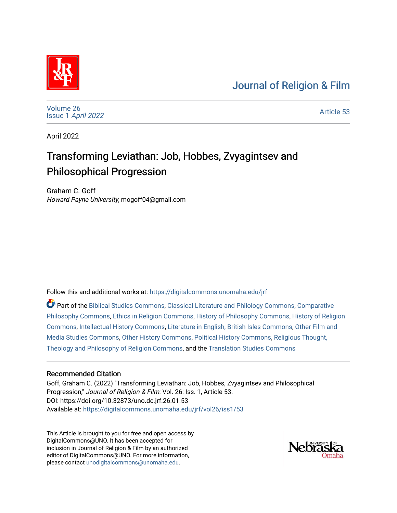## [Journal of Religion & Film](https://digitalcommons.unomaha.edu/jrf)



[Volume 26](https://digitalcommons.unomaha.edu/jrf/vol26) Issue 1 [April 2022](https://digitalcommons.unomaha.edu/jrf/vol26/iss1) 

[Article 53](https://digitalcommons.unomaha.edu/jrf/vol26/iss1/53) 

April 2022

# Transforming Leviathan: Job, Hobbes, Zvyagintsev and Philosophical Progression

Graham C. Goff Howard Payne University, mogoff04@gmail.com

Follow this and additional works at: [https://digitalcommons.unomaha.edu/jrf](https://digitalcommons.unomaha.edu/jrf?utm_source=digitalcommons.unomaha.edu%2Fjrf%2Fvol26%2Fiss1%2F53&utm_medium=PDF&utm_campaign=PDFCoverPages)

Part of the [Biblical Studies Commons,](http://network.bepress.com/hgg/discipline/539?utm_source=digitalcommons.unomaha.edu%2Fjrf%2Fvol26%2Fiss1%2F53&utm_medium=PDF&utm_campaign=PDFCoverPages) [Classical Literature and Philology Commons](http://network.bepress.com/hgg/discipline/451?utm_source=digitalcommons.unomaha.edu%2Fjrf%2Fvol26%2Fiss1%2F53&utm_medium=PDF&utm_campaign=PDFCoverPages), [Comparative](http://network.bepress.com/hgg/discipline/1343?utm_source=digitalcommons.unomaha.edu%2Fjrf%2Fvol26%2Fiss1%2F53&utm_medium=PDF&utm_campaign=PDFCoverPages) [Philosophy Commons,](http://network.bepress.com/hgg/discipline/1343?utm_source=digitalcommons.unomaha.edu%2Fjrf%2Fvol26%2Fiss1%2F53&utm_medium=PDF&utm_campaign=PDFCoverPages) [Ethics in Religion Commons](http://network.bepress.com/hgg/discipline/541?utm_source=digitalcommons.unomaha.edu%2Fjrf%2Fvol26%2Fiss1%2F53&utm_medium=PDF&utm_campaign=PDFCoverPages), [History of Philosophy Commons](http://network.bepress.com/hgg/discipline/531?utm_source=digitalcommons.unomaha.edu%2Fjrf%2Fvol26%2Fiss1%2F53&utm_medium=PDF&utm_campaign=PDFCoverPages), [History of Religion](http://network.bepress.com/hgg/discipline/499?utm_source=digitalcommons.unomaha.edu%2Fjrf%2Fvol26%2Fiss1%2F53&utm_medium=PDF&utm_campaign=PDFCoverPages) [Commons](http://network.bepress.com/hgg/discipline/499?utm_source=digitalcommons.unomaha.edu%2Fjrf%2Fvol26%2Fiss1%2F53&utm_medium=PDF&utm_campaign=PDFCoverPages), [Intellectual History Commons](http://network.bepress.com/hgg/discipline/501?utm_source=digitalcommons.unomaha.edu%2Fjrf%2Fvol26%2Fiss1%2F53&utm_medium=PDF&utm_campaign=PDFCoverPages), [Literature in English, British Isles Commons,](http://network.bepress.com/hgg/discipline/456?utm_source=digitalcommons.unomaha.edu%2Fjrf%2Fvol26%2Fiss1%2F53&utm_medium=PDF&utm_campaign=PDFCoverPages) [Other Film and](http://network.bepress.com/hgg/discipline/565?utm_source=digitalcommons.unomaha.edu%2Fjrf%2Fvol26%2Fiss1%2F53&utm_medium=PDF&utm_campaign=PDFCoverPages) [Media Studies Commons,](http://network.bepress.com/hgg/discipline/565?utm_source=digitalcommons.unomaha.edu%2Fjrf%2Fvol26%2Fiss1%2F53&utm_medium=PDF&utm_campaign=PDFCoverPages) [Other History Commons](http://network.bepress.com/hgg/discipline/508?utm_source=digitalcommons.unomaha.edu%2Fjrf%2Fvol26%2Fiss1%2F53&utm_medium=PDF&utm_campaign=PDFCoverPages), [Political History Commons](http://network.bepress.com/hgg/discipline/505?utm_source=digitalcommons.unomaha.edu%2Fjrf%2Fvol26%2Fiss1%2F53&utm_medium=PDF&utm_campaign=PDFCoverPages), [Religious Thought,](http://network.bepress.com/hgg/discipline/544?utm_source=digitalcommons.unomaha.edu%2Fjrf%2Fvol26%2Fiss1%2F53&utm_medium=PDF&utm_campaign=PDFCoverPages)  [Theology and Philosophy of Religion Commons,](http://network.bepress.com/hgg/discipline/544?utm_source=digitalcommons.unomaha.edu%2Fjrf%2Fvol26%2Fiss1%2F53&utm_medium=PDF&utm_campaign=PDFCoverPages) and the [Translation Studies Commons](http://network.bepress.com/hgg/discipline/1312?utm_source=digitalcommons.unomaha.edu%2Fjrf%2Fvol26%2Fiss1%2F53&utm_medium=PDF&utm_campaign=PDFCoverPages) 

#### Recommended Citation

Goff, Graham C. (2022) "Transforming Leviathan: Job, Hobbes, Zvyagintsev and Philosophical Progression," Journal of Religion & Film: Vol. 26: Iss. 1, Article 53. DOI: https://doi.org/10.32873/uno.dc.jrf.26.01.53 Available at: [https://digitalcommons.unomaha.edu/jrf/vol26/iss1/53](https://digitalcommons.unomaha.edu/jrf/vol26/iss1/53?utm_source=digitalcommons.unomaha.edu%2Fjrf%2Fvol26%2Fiss1%2F53&utm_medium=PDF&utm_campaign=PDFCoverPages) 

This Article is brought to you for free and open access by DigitalCommons@UNO. It has been accepted for inclusion in Journal of Religion & Film by an authorized editor of DigitalCommons@UNO. For more information, please contact [unodigitalcommons@unomaha.edu.](mailto:unodigitalcommons@unomaha.edu)

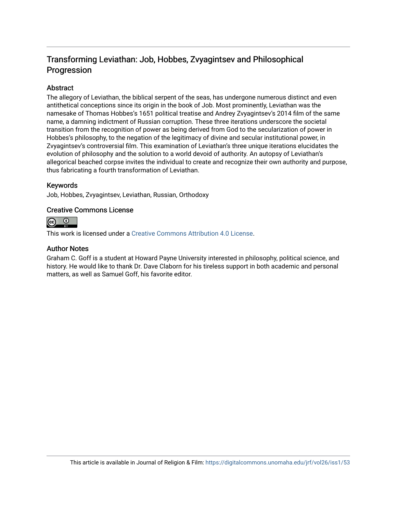### Transforming Leviathan: Job, Hobbes, Zvyagintsev and Philosophical Progression

#### Abstract

The allegory of Leviathan, the biblical serpent of the seas, has undergone numerous distinct and even antithetical conceptions since its origin in the book of Job. Most prominently, Leviathan was the namesake of Thomas Hobbes's 1651 political treatise and Andrey Zvyagintsev's 2014 film of the same name, a damning indictment of Russian corruption. These three iterations underscore the societal transition from the recognition of power as being derived from God to the secularization of power in Hobbes's philosophy, to the negation of the legitimacy of divine and secular institutional power, in Zvyagintsev's controversial film. This examination of Leviathan's three unique iterations elucidates the evolution of philosophy and the solution to a world devoid of authority. An autopsy of Leviathan's allegorical beached corpse invites the individual to create and recognize their own authority and purpose, thus fabricating a fourth transformation of Leviathan.

#### Keywords

Job, Hobbes, Zvyagintsev, Leviathan, Russian, Orthodoxy

#### Creative Commons License



This work is licensed under a [Creative Commons Attribution 4.0 License](https://creativecommons.org/licenses/by/4.0/).

#### Author Notes

Graham C. Goff is a student at Howard Payne University interested in philosophy, political science, and history. He would like to thank Dr. Dave Claborn for his tireless support in both academic and personal matters, as well as Samuel Goff, his favorite editor.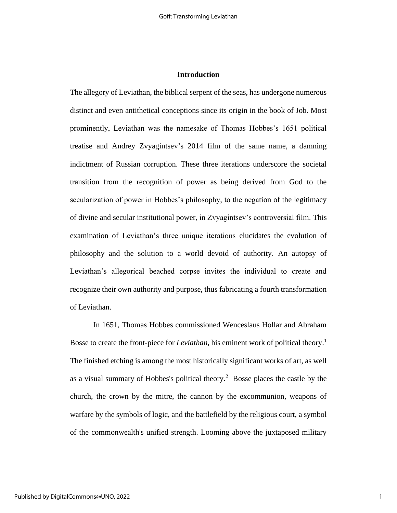#### **Introduction**

The allegory of Leviathan, the biblical serpent of the seas, has undergone numerous distinct and even antithetical conceptions since its origin in the book of Job. Most prominently, Leviathan was the namesake of Thomas Hobbes's 1651 political treatise and Andrey Zvyagintsev's 2014 film of the same name, a damning indictment of Russian corruption. These three iterations underscore the societal transition from the recognition of power as being derived from God to the secularization of power in Hobbes's philosophy, to the negation of the legitimacy of divine and secular institutional power, in Zvyagintsev's controversial film. This examination of Leviathan's three unique iterations elucidates the evolution of philosophy and the solution to a world devoid of authority. An autopsy of Leviathan's allegorical beached corpse invites the individual to create and recognize their own authority and purpose, thus fabricating a fourth transformation of Leviathan.

In 1651, Thomas Hobbes commissioned Wenceslaus Hollar and Abraham Bosse to create the front-piece for *Leviathan*, his eminent work of political theory.<sup>1</sup> The finished etching is among the most historically significant works of art, as well as a visual summary of Hobbes's political theory.<sup>2</sup> Bosse places the castle by the church, the crown by the mitre, the cannon by the excommunion, weapons of warfare by the symbols of logic, and the battlefield by the religious court, a symbol of the commonwealth's unified strength. Looming above the juxtaposed military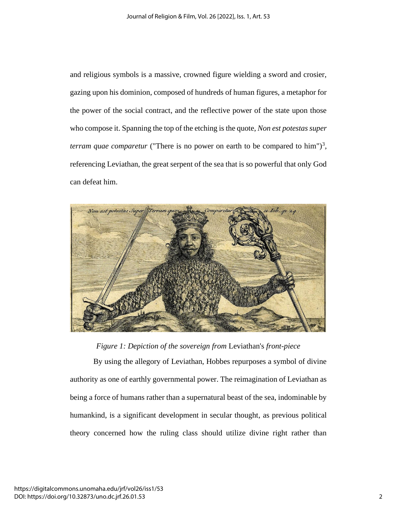and religious symbols is a massive, crowned figure wielding a sword and crosier, gazing upon his dominion, composed of hundreds of human figures, a metaphor for the power of the social contract, and the reflective power of the state upon those who compose it. Spanning the top of the etching is the quote, *Non est potestas super terram quae comparetur* ("There is no power on earth to be compared to him")<sup>3</sup>, referencing Leviathan, the great serpent of the sea that is so powerful that only God can defeat him.



*Figure 1: Depiction of the sovereign from* Leviathan's *front-piece*

By using the allegory of Leviathan, Hobbes repurposes a symbol of divine authority as one of earthly governmental power. The reimagination of Leviathan as being a force of humans rather than a supernatural beast of the sea, indominable by humankind, is a significant development in secular thought, as previous political theory concerned how the ruling class should utilize divine right rather than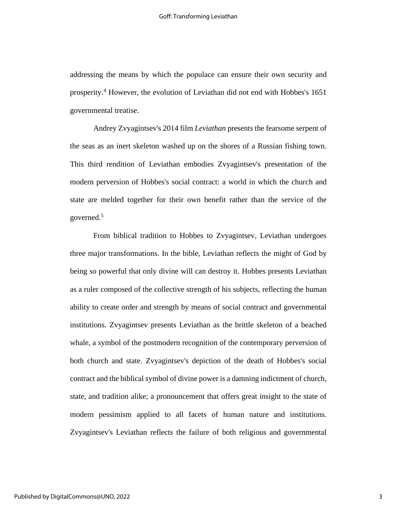addressing the means by which the populace can ensure their own security and prosperity. <sup>4</sup> However, the evolution of Leviathan did not end with Hobbes's 1651 governmental treatise.

Andrey Zvyagintsev's 2014 film *Leviathan* presents the fearsome serpent of the seas as an inert skeleton washed up on the shores of a Russian fishing town. This third rendition of Leviathan embodies Zvyagintsev's presentation of the modern perversion of Hobbes's social contract: a world in which the church and state are melded together for their own benefit rather than the service of the governed.<sup>5</sup>

From biblical tradition to Hobbes to Zvyagintsev, Leviathan undergoes three major transformations. In the bible, Leviathan reflects the might of God by being so powerful that only divine will can destroy it. Hobbes presents Leviathan as a ruler composed of the collective strength of his subjects, reflecting the human ability to create order and strength by means of social contract and governmental institutions. Zvyagintsev presents Leviathan as the brittle skeleton of a beached whale, a symbol of the postmodern recognition of the contemporary perversion of both church and state. Zvyagintsev's depiction of the death of Hobbes's social contract and the biblical symbol of divine power is a damning indictment of church, state, and tradition alike; a pronouncement that offers great insight to the state of modern pessimism applied to all facets of human nature and institutions. Zvyagintsev's Leviathan reflects the failure of both religious and governmental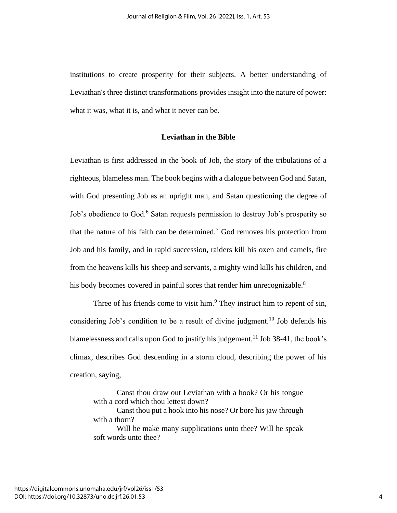institutions to create prosperity for their subjects. A better understanding of Leviathan's three distinct transformations provides insight into the nature of power: what it was, what it is, and what it never can be.

#### **Leviathan in the Bible**

Leviathan is first addressed in the book of Job, the story of the tribulations of a righteous, blameless man. The book begins with a dialogue between God and Satan, with God presenting Job as an upright man, and Satan questioning the degree of Job's obedience to God.<sup>6</sup> Satan requests permission to destroy Job's prosperity so that the nature of his faith can be determined.<sup>7</sup> God removes his protection from Job and his family, and in rapid succession, raiders kill his oxen and camels, fire from the heavens kills his sheep and servants, a mighty wind kills his children, and his body becomes covered in painful sores that render him unrecognizable.<sup>8</sup>

Three of his friends come to visit him. $9$  They instruct him to repent of sin, considering Job's condition to be a result of divine judgment.<sup>10</sup> Job defends his blamelessness and calls upon God to justify his judgement.<sup>11</sup> Job 38-41, the book's climax, describes God descending in a storm cloud, describing the power of his creation, saying,

Canst thou draw out Leviathan with a hook? Or his tongue with a cord which thou lettest down?

Canst thou put a hook into his nose? Or bore his jaw through with a thorn?

Will he make many supplications unto thee? Will he speak soft words unto thee?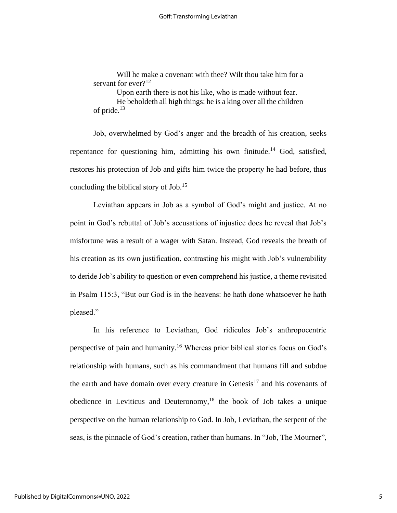Will he make a covenant with thee? Wilt thou take him for a servant for ever  $2^{12}$ 

Upon earth there is not his like, who is made without fear.

He beholdeth all high things: he is a king over all the children of pride.<sup>13</sup>

Job, overwhelmed by God's anger and the breadth of his creation, seeks repentance for questioning him, admitting his own finitude.<sup>14</sup> God, satisfied, restores his protection of Job and gifts him twice the property he had before, thus concluding the biblical story of Job.<sup>15</sup>

Leviathan appears in Job as a symbol of God's might and justice. At no point in God's rebuttal of Job's accusations of injustice does he reveal that Job's misfortune was a result of a wager with Satan. Instead, God reveals the breath of his creation as its own justification, contrasting his might with Job's vulnerability to deride Job's ability to question or even comprehend his justice, a theme revisited in Psalm 115:3, "But our God is in the heavens: he hath done whatsoever he hath pleased."

In his reference to Leviathan, God ridicules Job's anthropocentric perspective of pain and humanity.<sup>16</sup> Whereas prior biblical stories focus on God's relationship with humans, such as his commandment that humans fill and subdue the earth and have domain over every creature in Genesis<sup>17</sup> and his covenants of obedience in Leviticus and Deuteronomy, $18$  the book of Job takes a unique perspective on the human relationship to God. In Job, Leviathan, the serpent of the seas, is the pinnacle of God's creation, rather than humans. In "Job, The Mourner",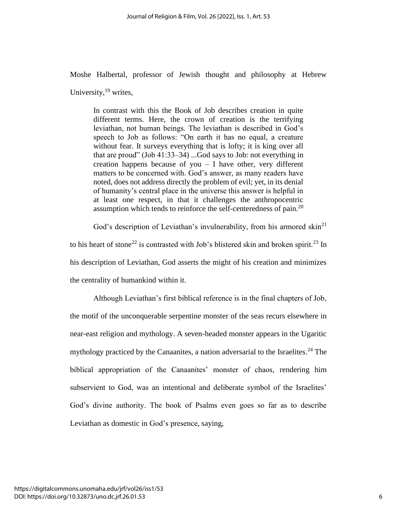Moshe Halbertal, professor of Jewish thought and philosophy at Hebrew

University, $^{19}$  writes,

In contrast with this the Book of Job describes creation in quite different terms. Here, the crown of creation is the terrifying leviathan, not human beings. The leviathan is described in God's speech to Job as follows: "On earth it has no equal, a creature without fear. It surveys everything that is lofty; it is king over all that are proud" (Job 41:33–34) ...God says to Job: not everything in creation happens because of you  $-$  I have other, very different matters to be concerned with. God's answer, as many readers have noted, does not address directly the problem of evil; yet, in its denial of humanity's central place in the universe this answer is helpful in at least one respect, in that it challenges the anthropocentric assumption which tends to reinforce the self-centeredness of pain.<sup>20</sup>

God's description of Leviathan's invulnerability, from his armored skin<sup>21</sup> to his heart of stone<sup>22</sup> is contrasted with Job's blistered skin and broken spirit.<sup>23</sup> In his description of Leviathan, God asserts the might of his creation and minimizes the centrality of humankind within it.

Although Leviathan's first biblical reference is in the final chapters of Job, the motif of the unconquerable serpentine monster of the seas recurs elsewhere in near-east religion and mythology. A seven-headed monster appears in the Ugaritic mythology practiced by the Canaanites, a nation adversarial to the Israelites.<sup>24</sup> The biblical appropriation of the Canaanites' monster of chaos, rendering him subservient to God, was an intentional and deliberate symbol of the Israelites' God's divine authority. The book of Psalms even goes so far as to describe Leviathan as domestic in God's presence, saying,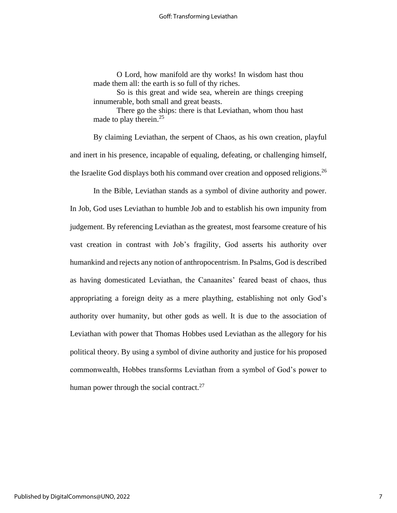O Lord, how manifold are thy works! In wisdom hast thou made them all: the earth is so full of thy riches.

So is this great and wide sea, wherein are things creeping innumerable, both small and great beasts.

There go the ships: there is that Leviathan, whom thou hast made to play therein.<sup>25</sup>

By claiming Leviathan, the serpent of Chaos, as his own creation, playful and inert in his presence, incapable of equaling, defeating, or challenging himself, the Israelite God displays both his command over creation and opposed religions.<sup>26</sup>

In the Bible, Leviathan stands as a symbol of divine authority and power. In Job, God uses Leviathan to humble Job and to establish his own impunity from judgement. By referencing Leviathan as the greatest, most fearsome creature of his vast creation in contrast with Job's fragility, God asserts his authority over humankind and rejects any notion of anthropocentrism. In Psalms, God is described as having domesticated Leviathan, the Canaanites' feared beast of chaos, thus appropriating a foreign deity as a mere plaything, establishing not only God's authority over humanity, but other gods as well. It is due to the association of Leviathan with power that Thomas Hobbes used Leviathan as the allegory for his political theory. By using a symbol of divine authority and justice for his proposed commonwealth, Hobbes transforms Leviathan from a symbol of God's power to human power through the social contract. $27$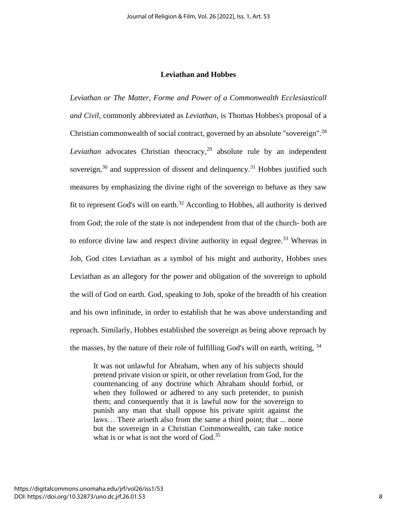#### **Leviathan and Hobbes**

*Leviathan or The Matter, Forme and Power of a Commonwealth Ecclesiasticall and Civil,* commonly abbreviated as *Leviathan,* is Thomas Hobbes's proposal of a Christian commonwealth of social contract, governed by an absolute "sovereign".<sup>28</sup> *Leviathan* advocates Christian theocracy, <sup>29</sup> absolute rule by an independent sovereign, $30$  and suppression of dissent and delinquency.<sup>31</sup> Hobbes justified such measures by emphasizing the divine right of the sovereign to behave as they saw fit to represent God's will on earth.<sup>32</sup> According to Hobbes, all authority is derived from God; the role of the state is not independent from that of the church- both are to enforce divine law and respect divine authority in equal degree.<sup>33</sup> Whereas in Job, God cites Leviathan as a symbol of his might and authority, Hobbes uses Leviathan as an allegory for the power and obligation of the sovereign to uphold the will of God on earth. God, speaking to Job, spoke of the breadth of his creation and his own infinitude, in order to establish that he was above understanding and reproach. Similarly, Hobbes established the sovereign as being above reproach by the masses, by the nature of their role of fulfilling God's will on earth, writing, <sup>34</sup>

It was not unlawful for Abraham, when any of his subjects should pretend private vision or spirit, or other revelation from God, for the countenancing of any doctrine which Abraham should forbid, or when they followed or adhered to any such pretender, to punish them; and consequently that it is lawful now for the sovereign to punish any man that shall oppose his private spirit against the laws… There ariseth also from the same a third point; that ... none but the sovereign in a Christian Commonwealth, can take notice what is or what is not the word of God.<sup>35</sup>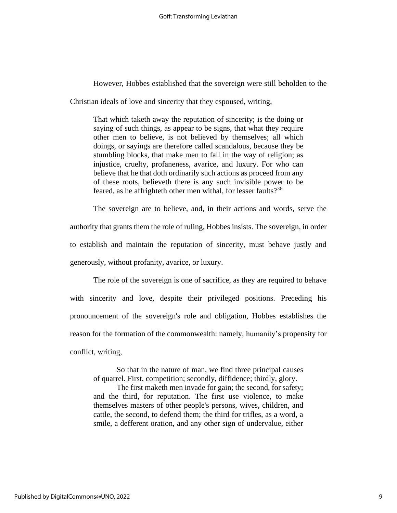However, Hobbes established that the sovereign were still beholden to the

Christian ideals of love and sincerity that they espoused, writing,

That which taketh away the reputation of sincerity; is the doing or saying of such things, as appear to be signs, that what they require other men to believe, is not believed by themselves; all which doings, or sayings are therefore called scandalous, because they be stumbling blocks, that make men to fall in the way of religion; as injustice, cruelty, profaneness, avarice, and luxury. For who can believe that he that doth ordinarily such actions as proceed from any of these roots, believeth there is any such invisible power to be feared, as he affrighteth other men withal, for lesser faults?<sup>36</sup>

The sovereign are to believe, and, in their actions and words, serve the authority that grants them the role of ruling, Hobbes insists. The sovereign, in order to establish and maintain the reputation of sincerity, must behave justly and generously, without profanity, avarice, or luxury.

The role of the sovereign is one of sacrifice, as they are required to behave with sincerity and love, despite their privileged positions. Preceding his pronouncement of the sovereign's role and obligation, Hobbes establishes the reason for the formation of the commonwealth: namely, humanity's propensity for conflict, writing,

So that in the nature of man, we find three principal causes of quarrel. First, competition; secondly, diffidence; thirdly, glory.

The first maketh men invade for gain; the second, for safety; and the third, for reputation. The first use violence, to make themselves masters of other people's persons, wives, children, and cattle, the second, to defend them; the third for trifles, as a word, a smile, a defferent oration, and any other sign of undervalue, either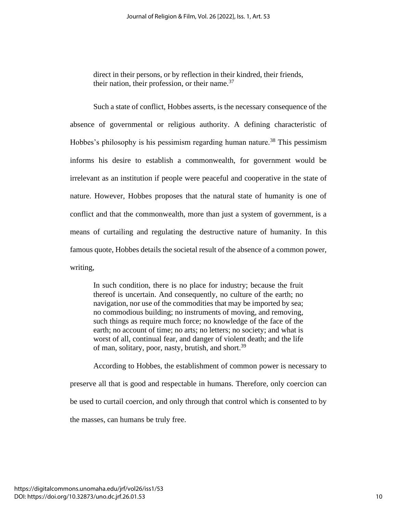direct in their persons, or by reflection in their kindred, their friends, their nation, their profession, or their name. $^{37}$ 

Such a state of conflict, Hobbes asserts, is the necessary consequence of the absence of governmental or religious authority. A defining characteristic of Hobbes's philosophy is his pessimism regarding human nature.<sup>38</sup> This pessimism informs his desire to establish a commonwealth, for government would be irrelevant as an institution if people were peaceful and cooperative in the state of nature. However, Hobbes proposes that the natural state of humanity is one of conflict and that the commonwealth, more than just a system of government, is a means of curtailing and regulating the destructive nature of humanity. In this famous quote, Hobbes details the societal result of the absence of a common power, writing,

In such condition, there is no place for industry; because the fruit thereof is uncertain. And consequently, no culture of the earth; no navigation, nor use of the commodities that may be imported by sea; no commodious building; no instruments of moving, and removing, such things as require much force; no knowledge of the face of the earth; no account of time; no arts; no letters; no society; and what is worst of all, continual fear, and danger of violent death; and the life of man, solitary, poor, nasty, brutish, and short.<sup>39</sup>

According to Hobbes, the establishment of common power is necessary to preserve all that is good and respectable in humans. Therefore, only coercion can be used to curtail coercion, and only through that control which is consented to by the masses, can humans be truly free.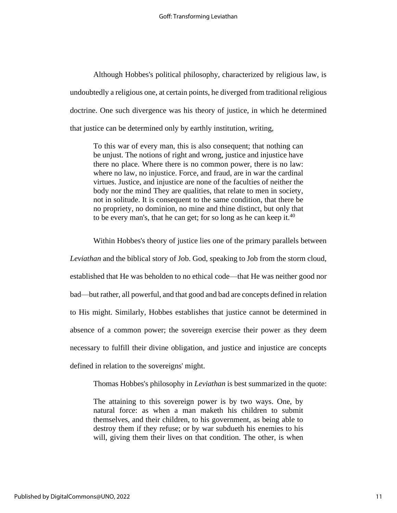Although Hobbes's political philosophy, characterized by religious law, is undoubtedly a religious one, at certain points, he diverged from traditional religious doctrine. One such divergence was his theory of justice, in which he determined that justice can be determined only by earthly institution, writing,

To this war of every man, this is also consequent; that nothing can be unjust. The notions of right and wrong, justice and injustice have there no place. Where there is no common power, there is no law: where no law, no injustice. Force, and fraud, are in war the cardinal virtues. Justice, and injustice are none of the faculties of neither the body nor the mind They are qualities, that relate to men in society, not in solitude. It is consequent to the same condition, that there be no propriety, no dominion, no mine and thine distinct, but only that to be every man's, that he can get; for so long as he can keep it.<sup>40</sup>

Within Hobbes's theory of justice lies one of the primary parallels between *Leviathan* and the biblical story of Job. God, speaking to Job from the storm cloud, established that He was beholden to no ethical code—that He was neither good nor bad—but rather, all powerful, and that good and bad are concepts defined in relation to His might. Similarly, Hobbes establishes that justice cannot be determined in absence of a common power; the sovereign exercise their power as they deem necessary to fulfill their divine obligation, and justice and injustice are concepts defined in relation to the sovereigns' might.

Thomas Hobbes's philosophy in *Leviathan* is best summarized in the quote:

The attaining to this sovereign power is by two ways. One, by natural force: as when a man maketh his children to submit themselves, and their children, to his government, as being able to destroy them if they refuse; or by war subdueth his enemies to his will, giving them their lives on that condition. The other, is when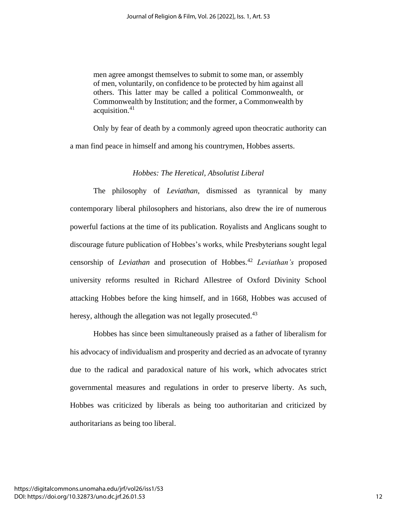men agree amongst themselves to submit to some man, or assembly of men, voluntarily, on confidence to be protected by him against all others. This latter may be called a political Commonwealth, or Commonwealth by Institution; and the former, a Commonwealth by acquisition. 41

Only by fear of death by a commonly agreed upon theocratic authority can a man find peace in himself and among his countrymen, Hobbes asserts.

#### *Hobbes: The Heretical, Absolutist Liberal*

The philosophy of *Leviathan*, dismissed as tyrannical by many contemporary liberal philosophers and historians, also drew the ire of numerous powerful factions at the time of its publication. Royalists and Anglicans sought to discourage future publication of Hobbes's works, while Presbyterians sought legal censorship of *Leviathan* and prosecution of Hobbes.<sup>42</sup> *Leviathan's* proposed university reforms resulted in Richard Allestree of Oxford Divinity School attacking Hobbes before the king himself, and in 1668, Hobbes was accused of heresy, although the allegation was not legally prosecuted.<sup>43</sup>

Hobbes has since been simultaneously praised as a father of liberalism for his advocacy of individualism and prosperity and decried as an advocate of tyranny due to the radical and paradoxical nature of his work, which advocates strict governmental measures and regulations in order to preserve liberty. As such, Hobbes was criticized by liberals as being too authoritarian and criticized by authoritarians as being too liberal.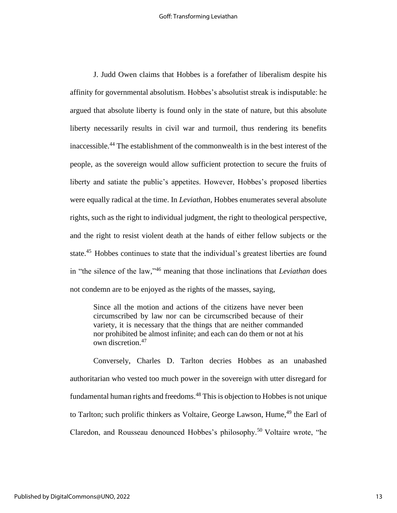J. Judd Owen claims that Hobbes is a forefather of liberalism despite his affinity for governmental absolutism. Hobbes's absolutist streak is indisputable: he argued that absolute liberty is found only in the state of nature, but this absolute liberty necessarily results in civil war and turmoil, thus rendering its benefits inaccessible.<sup>44</sup> The establishment of the commonwealth is in the best interest of the people, as the sovereign would allow sufficient protection to secure the fruits of liberty and satiate the public's appetites. However, Hobbes's proposed liberties were equally radical at the time. In *Leviathan*, Hobbes enumerates several absolute rights, such as the right to individual judgment, the right to theological perspective, and the right to resist violent death at the hands of either fellow subjects or the state.<sup>45</sup> Hobbes continues to state that the individual's greatest liberties are found in "the silence of the law," <sup>46</sup> meaning that those inclinations that *Leviathan* does not condemn are to be enjoyed as the rights of the masses, saying,

Since all the motion and actions of the citizens have never been circumscribed by law nor can be circumscribed because of their variety, it is necessary that the things that are neither commanded nor prohibited be almost infinite; and each can do them or not at his own discretion.<sup>47</sup>

Conversely, Charles D. Tarlton decries Hobbes as an unabashed authoritarian who vested too much power in the sovereign with utter disregard for fundamental human rights and freedoms.<sup>48</sup> This is objection to Hobbes is not unique to Tarlton; such prolific thinkers as Voltaire, George Lawson, Hume,<sup>49</sup> the Earl of Claredon, and Rousseau denounced Hobbes's philosophy.<sup>50</sup> Voltaire wrote, "he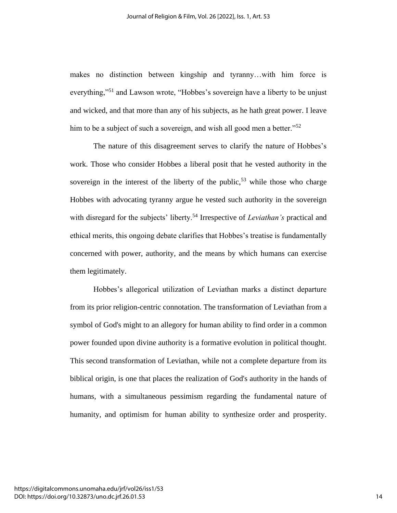makes no distinction between kingship and tyranny…with him force is everything,"<sup>51</sup> and Lawson wrote, "Hobbes's sovereign have a liberty to be unjust and wicked, and that more than any of his subjects, as he hath great power. I leave him to be a subject of such a sovereign, and wish all good men a better."<sup>52</sup>

The nature of this disagreement serves to clarify the nature of Hobbes's work. Those who consider Hobbes a liberal posit that he vested authority in the sovereign in the interest of the liberty of the public,<sup>53</sup> while those who charge Hobbes with advocating tyranny argue he vested such authority in the sovereign with disregard for the subjects' liberty.<sup>54</sup> Irrespective of *Leviathan's* practical and ethical merits, this ongoing debate clarifies that Hobbes's treatise is fundamentally concerned with power, authority, and the means by which humans can exercise them legitimately.

Hobbes's allegorical utilization of Leviathan marks a distinct departure from its prior religion-centric connotation. The transformation of Leviathan from a symbol of God's might to an allegory for human ability to find order in a common power founded upon divine authority is a formative evolution in political thought. This second transformation of Leviathan, while not a complete departure from its biblical origin, is one that places the realization of God's authority in the hands of humans, with a simultaneous pessimism regarding the fundamental nature of humanity, and optimism for human ability to synthesize order and prosperity.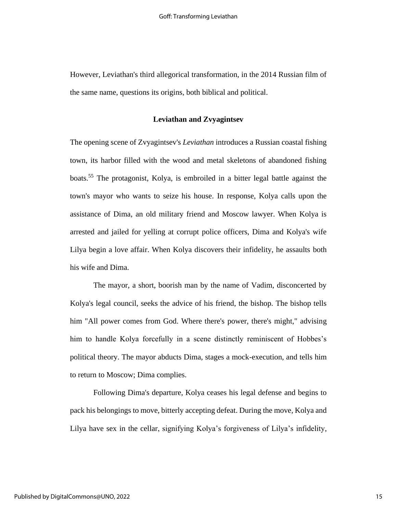However, Leviathan's third allegorical transformation, in the 2014 Russian film of the same name, questions its origins, both biblical and political.

#### **Leviathan and Zvyagintsev**

The opening scene of Zvyagintsev's *Leviathan* introduces a Russian coastal fishing town, its harbor filled with the wood and metal skeletons of abandoned fishing boats.<sup>55</sup> The protagonist, Kolya, is embroiled in a bitter legal battle against the town's mayor who wants to seize his house. In response, Kolya calls upon the assistance of Dima, an old military friend and Moscow lawyer. When Kolya is arrested and jailed for yelling at corrupt police officers, Dima and Kolya's wife Lilya begin a love affair. When Kolya discovers their infidelity, he assaults both his wife and Dima.

The mayor, a short, boorish man by the name of Vadim, disconcerted by Kolya's legal council, seeks the advice of his friend, the bishop. The bishop tells him "All power comes from God. Where there's power, there's might," advising him to handle Kolya forcefully in a scene distinctly reminiscent of Hobbes's political theory. The mayor abducts Dima, stages a mock-execution, and tells him to return to Moscow; Dima complies.

Following Dima's departure, Kolya ceases his legal defense and begins to pack his belongings to move, bitterly accepting defeat. During the move, Kolya and Lilya have sex in the cellar, signifying Kolya's forgiveness of Lilya's infidelity,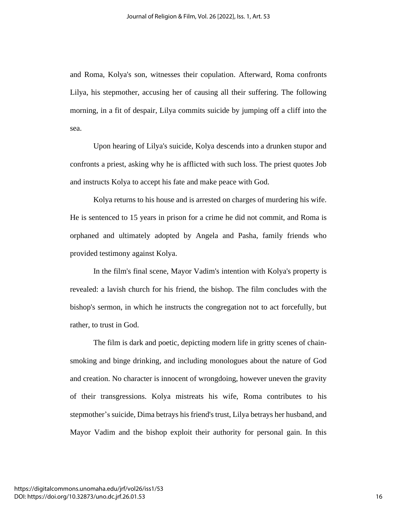and Roma, Kolya's son, witnesses their copulation. Afterward, Roma confronts Lilya, his stepmother, accusing her of causing all their suffering. The following morning, in a fit of despair, Lilya commits suicide by jumping off a cliff into the sea.

Upon hearing of Lilya's suicide, Kolya descends into a drunken stupor and confronts a priest, asking why he is afflicted with such loss. The priest quotes Job and instructs Kolya to accept his fate and make peace with God.

Kolya returns to his house and is arrested on charges of murdering his wife. He is sentenced to 15 years in prison for a crime he did not commit, and Roma is orphaned and ultimately adopted by Angela and Pasha, family friends who provided testimony against Kolya.

In the film's final scene, Mayor Vadim's intention with Kolya's property is revealed: a lavish church for his friend, the bishop. The film concludes with the bishop's sermon, in which he instructs the congregation not to act forcefully, but rather, to trust in God.

The film is dark and poetic, depicting modern life in gritty scenes of chainsmoking and binge drinking, and including monologues about the nature of God and creation. No character is innocent of wrongdoing, however uneven the gravity of their transgressions. Kolya mistreats his wife, Roma contributes to his stepmother's suicide, Dima betrays his friend's trust, Lilya betrays her husband, and Mayor Vadim and the bishop exploit their authority for personal gain. In this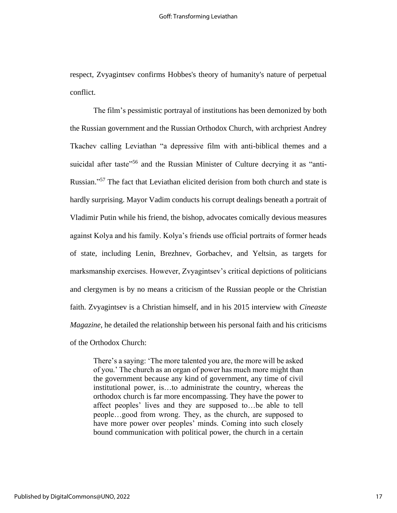respect, Zvyagintsev confirms Hobbes's theory of humanity's nature of perpetual conflict.

The film's pessimistic portrayal of institutions has been demonized by both the Russian government and the Russian Orthodox Church, with archpriest Andrey Tkachev calling Leviathan "a depressive film with anti-biblical themes and a suicidal after taste<sup>"56</sup> and the Russian Minister of Culture decrying it as "anti-Russian." <sup>57</sup> The fact that Leviathan elicited derision from both church and state is hardly surprising. Mayor Vadim conducts his corrupt dealings beneath a portrait of Vladimir Putin while his friend, the bishop, advocates comically devious measures against Kolya and his family. Kolya's friends use official portraits of former heads of state, including Lenin, Brezhnev, Gorbachev, and Yeltsin, as targets for marksmanship exercises. However, Zvyagintsev's critical depictions of politicians and clergymen is by no means a criticism of the Russian people or the Christian faith. Zvyagintsev is a Christian himself, and in his 2015 interview with *Cineaste Magazine*, he detailed the relationship between his personal faith and his criticisms of the Orthodox Church:

There's a saying: 'The more talented you are, the more will be asked of you.' The church as an organ of power has much more might than the government because any kind of government, any time of civil institutional power, is…to administrate the country, whereas the orthodox church is far more encompassing. They have the power to affect peoples' lives and they are supposed to…be able to tell people…good from wrong. They, as the church, are supposed to have more power over peoples' minds. Coming into such closely bound communication with political power, the church in a certain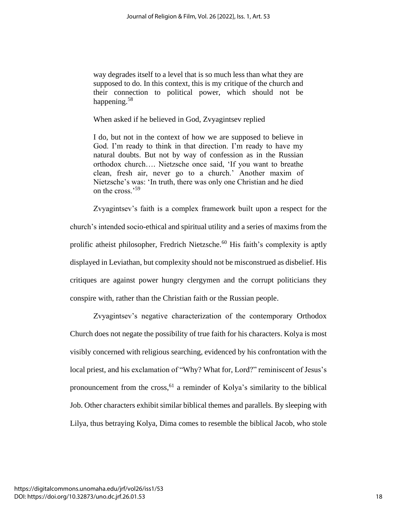way degrades itself to a level that is so much less than what they are supposed to do. In this context, this is my critique of the church and their connection to political power, which should not be happening.<sup>58</sup>

When asked if he believed in God, Zvyagintsev replied

I do, but not in the context of how we are supposed to believe in God. I'm ready to think in that direction. I'm ready to have my natural doubts. But not by way of confession as in the Russian orthodox church…. Nietzsche once said, 'If you want to breathe clean, fresh air, never go to a church.' Another maxim of Nietzsche's was: 'In truth, there was only one Christian and he died on the cross.'<sup>59</sup>

Zvyagintsev's faith is a complex framework built upon a respect for the church's intended socio-ethical and spiritual utility and a series of maxims from the prolific atheist philosopher, Fredrich Nietzsche.<sup>60</sup> His faith's complexity is aptly displayed in Leviathan, but complexity should not be misconstrued as disbelief. His critiques are against power hungry clergymen and the corrupt politicians they conspire with, rather than the Christian faith or the Russian people.

Zvyagintsev's negative characterization of the contemporary Orthodox Church does not negate the possibility of true faith for his characters. Kolya is most visibly concerned with religious searching, evidenced by his confrontation with the local priest, and his exclamation of "Why? What for, Lord?" reminiscent of Jesus's pronouncement from the cross,<sup>61</sup> a reminder of Kolya's similarity to the biblical Job. Other characters exhibit similar biblical themes and parallels. By sleeping with Lilya, thus betraying Kolya, Dima comes to resemble the biblical Jacob, who stole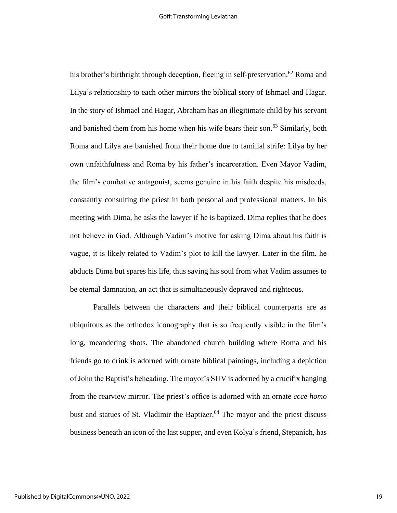his brother's birthright through deception, fleeing in self-preservation.<sup>62</sup> Roma and Lilya's relationship to each other mirrors the biblical story of Ishmael and Hagar. In the story of Ishmael and Hagar, Abraham has an illegitimate child by his servant and banished them from his home when his wife bears their son. <sup>63</sup> Similarly, both Roma and Lilya are banished from their home due to familial strife: Lilya by her own unfaithfulness and Roma by his father's incarceration. Even Mayor Vadim, the film's combative antagonist, seems genuine in his faith despite his misdeeds, constantly consulting the priest in both personal and professional matters. In his meeting with Dima, he asks the lawyer if he is baptized. Dima replies that he does not believe in God. Although Vadim's motive for asking Dima about his faith is vague, it is likely related to Vadim's plot to kill the lawyer. Later in the film, he abducts Dima but spares his life, thus saving his soul from what Vadim assumes to be eternal damnation, an act that is simultaneously depraved and righteous.

Parallels between the characters and their biblical counterparts are as ubiquitous as the orthodox iconography that is so frequently visible in the film's long, meandering shots. The abandoned church building where Roma and his friends go to drink is adorned with ornate biblical paintings, including a depiction of John the Baptist's beheading. The mayor's SUV is adorned by a crucifix hanging from the rearview mirror. The priest's office is adorned with an ornate *ecce homo* bust and statues of St. Vladimir the Baptizer. <sup>64</sup> The mayor and the priest discuss business beneath an icon of the last supper, and even Kolya's friend, Stepanich, has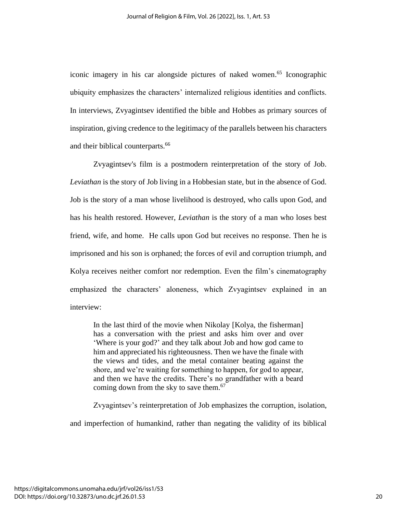iconic imagery in his car alongside pictures of naked women. <sup>65</sup> Iconographic ubiquity emphasizes the characters' internalized religious identities and conflicts. In interviews, Zvyagintsev identified the bible and Hobbes as primary sources of inspiration, giving credence to the legitimacy of the parallels between his characters and their biblical counterparts. 66

Zvyagintsev's film is a postmodern reinterpretation of the story of Job. *Leviathan* is the story of Job living in a Hobbesian state, but in the absence of God. Job is the story of a man whose livelihood is destroyed, who calls upon God, and has his health restored. However, *Leviathan* is the story of a man who loses best friend, wife, and home. He calls upon God but receives no response. Then he is imprisoned and his son is orphaned; the forces of evil and corruption triumph, and Kolya receives neither comfort nor redemption. Even the film's cinematography emphasized the characters' aloneness, which Zvyagintsev explained in an interview:

In the last third of the movie when Nikolay [Kolya, the fisherman] has a conversation with the priest and asks him over and over 'Where is your god?' and they talk about Job and how god came to him and appreciated his righteousness. Then we have the finale with the views and tides, and the metal container beating against the shore, and we're waiting for something to happen, for god to appear, and then we have the credits. There's no grandfather with a beard coming down from the sky to save them.<sup>67</sup>

Zvyagintsev's reinterpretation of Job emphasizes the corruption, isolation,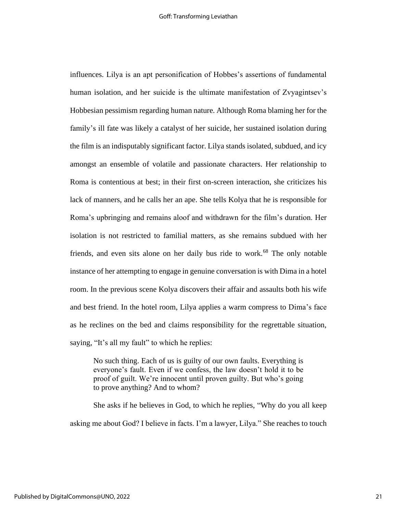influences. Lilya is an apt personification of Hobbes's assertions of fundamental human isolation, and her suicide is the ultimate manifestation of Zvyagintsev's Hobbesian pessimism regarding human nature. Although Roma blaming her for the family's ill fate was likely a catalyst of her suicide, her sustained isolation during the film is an indisputably significant factor. Lilya stands isolated, subdued, and icy amongst an ensemble of volatile and passionate characters. Her relationship to Roma is contentious at best; in their first on-screen interaction, she criticizes his lack of manners, and he calls her an ape. She tells Kolya that he is responsible for Roma's upbringing and remains aloof and withdrawn for the film's duration. Her isolation is not restricted to familial matters, as she remains subdued with her friends, and even sits alone on her daily bus ride to work.<sup>68</sup> The only notable instance of her attempting to engage in genuine conversation is with Dima in a hotel room. In the previous scene Kolya discovers their affair and assaults both his wife and best friend. In the hotel room, Lilya applies a warm compress to Dima's face as he reclines on the bed and claims responsibility for the regrettable situation, saying, "It's all my fault" to which he replies:

No such thing. Each of us is guilty of our own faults. Everything is everyone's fault. Even if we confess, the law doesn't hold it to be proof of guilt. We're innocent until proven guilty. But who's going to prove anything? And to whom?

She asks if he believes in God, to which he replies, "Why do you all keep asking me about God? I believe in facts. I'm a lawyer, Lilya." She reaches to touch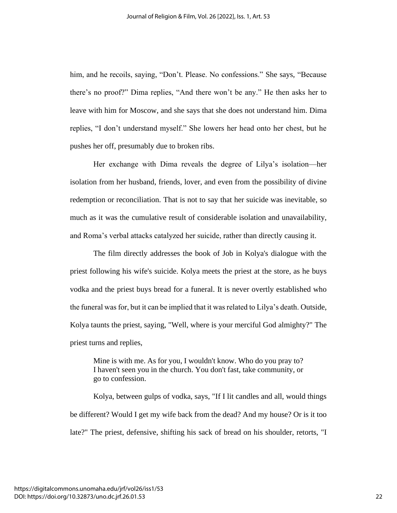him, and he recoils, saying, "Don't. Please. No confessions." She says, "Because there's no proof?" Dima replies, "And there won't be any." He then asks her to leave with him for Moscow, and she says that she does not understand him. Dima replies, "I don't understand myself." She lowers her head onto her chest, but he pushes her off, presumably due to broken ribs.

Her exchange with Dima reveals the degree of Lilya's isolation—her isolation from her husband, friends, lover, and even from the possibility of divine redemption or reconciliation. That is not to say that her suicide was inevitable, so much as it was the cumulative result of considerable isolation and unavailability, and Roma's verbal attacks catalyzed her suicide, rather than directly causing it.

The film directly addresses the book of Job in Kolya's dialogue with the priest following his wife's suicide. Kolya meets the priest at the store, as he buys vodka and the priest buys bread for a funeral. It is never overtly established who the funeral was for, but it can be implied that it was related to Lilya's death. Outside, Kolya taunts the priest, saying, "Well, where is your merciful God almighty?" The priest turns and replies,

Mine is with me. As for you, I wouldn't know. Who do you pray to? I haven't seen you in the church. You don't fast, take community, or go to confession.

Kolya, between gulps of vodka, says, "If I lit candles and all, would things be different? Would I get my wife back from the dead? And my house? Or is it too late?" The priest, defensive, shifting his sack of bread on his shoulder, retorts, "I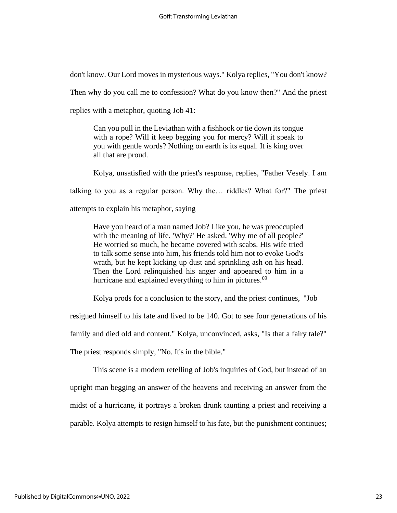don't know. Our Lord moves in mysterious ways." Kolya replies, "You don't know?

Then why do you call me to confession? What do you know then?" And the priest

replies with a metaphor, quoting Job 41:

Can you pull in the Leviathan with a fishhook or tie down its tongue with a rope? Will it keep begging you for mercy? Will it speak to you with gentle words? Nothing on earth is its equal. It is king over all that are proud.

Kolya, unsatisfied with the priest's response, replies, "Father Vesely. I am talking to you as a regular person. Why the… riddles? What for?" The priest attempts to explain his metaphor, saying

Have you heard of a man named Job? Like you, he was preoccupied with the meaning of life. 'Why?' He asked. 'Why me of all people?' He worried so much, he became covered with scabs. His wife tried to talk some sense into him, his friends told him not to evoke God's wrath, but he kept kicking up dust and sprinkling ash on his head. Then the Lord relinquished his anger and appeared to him in a hurricane and explained everything to him in pictures.<sup>69</sup>

Kolya prods for a conclusion to the story, and the priest continues, "Job

resigned himself to his fate and lived to be 140. Got to see four generations of his

family and died old and content." Kolya, unconvinced, asks, "Is that a fairy tale?"

The priest responds simply, "No. It's in the bible."

This scene is a modern retelling of Job's inquiries of God, but instead of an upright man begging an answer of the heavens and receiving an answer from the midst of a hurricane, it portrays a broken drunk taunting a priest and receiving a parable. Kolya attempts to resign himself to his fate, but the punishment continues;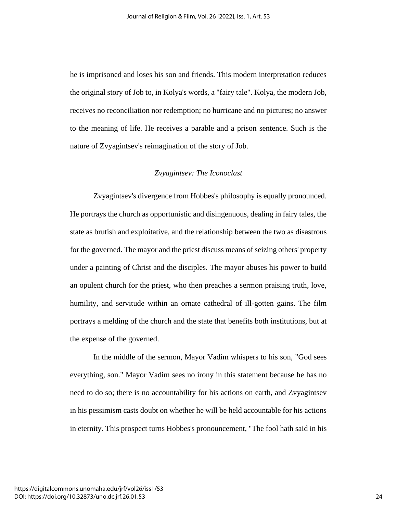he is imprisoned and loses his son and friends. This modern interpretation reduces the original story of Job to, in Kolya's words, a "fairy tale". Kolya, the modern Job, receives no reconciliation nor redemption; no hurricane and no pictures; no answer to the meaning of life. He receives a parable and a prison sentence. Such is the nature of Zvyagintsev's reimagination of the story of Job.

#### *Zvyagintsev: The Iconoclast*

Zvyagintsev's divergence from Hobbes's philosophy is equally pronounced. He portrays the church as opportunistic and disingenuous, dealing in fairy tales, the state as brutish and exploitative, and the relationship between the two as disastrous for the governed. The mayor and the priest discuss means of seizing others' property under a painting of Christ and the disciples. The mayor abuses his power to build an opulent church for the priest, who then preaches a sermon praising truth, love, humility, and servitude within an ornate cathedral of ill-gotten gains. The film portrays a melding of the church and the state that benefits both institutions, but at the expense of the governed.

In the middle of the sermon, Mayor Vadim whispers to his son, "God sees everything, son." Mayor Vadim sees no irony in this statement because he has no need to do so; there is no accountability for his actions on earth, and Zvyagintsev in his pessimism casts doubt on whether he will be held accountable for his actions in eternity. This prospect turns Hobbes's pronouncement, "The fool hath said in his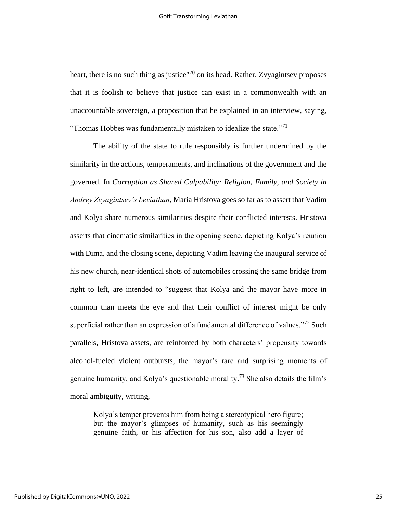heart, there is no such thing as justice"<sup>70</sup> on its head. Rather, Zvyagintsev proposes that it is foolish to believe that justice can exist in a commonwealth with an unaccountable sovereign, a proposition that he explained in an interview, saying, "Thomas Hobbes was fundamentally mistaken to idealize the state."<sup>71</sup>

The ability of the state to rule responsibly is further undermined by the similarity in the actions, temperaments, and inclinations of the government and the governed. In *Corruption as Shared Culpability: Religion, Family, and Society in Andrey Zvyagintsev's Leviathan*, Maria Hristova goes so far as to assert that Vadim and Kolya share numerous similarities despite their conflicted interests. Hristova asserts that cinematic similarities in the opening scene, depicting Kolya's reunion with Dima, and the closing scene, depicting Vadim leaving the inaugural service of his new church, near-identical shots of automobiles crossing the same bridge from right to left, are intended to "suggest that Kolya and the mayor have more in common than meets the eye and that their conflict of interest might be only superficial rather than an expression of a fundamental difference of values."<sup>72</sup> Such parallels, Hristova assets, are reinforced by both characters' propensity towards alcohol-fueled violent outbursts, the mayor's rare and surprising moments of genuine humanity, and Kolya's questionable morality. <sup>73</sup> She also details the film's moral ambiguity, writing,

Kolya's temper prevents him from being a stereotypical hero figure; but the mayor's glimpses of humanity, such as his seemingly genuine faith, or his affection for his son, also add a layer of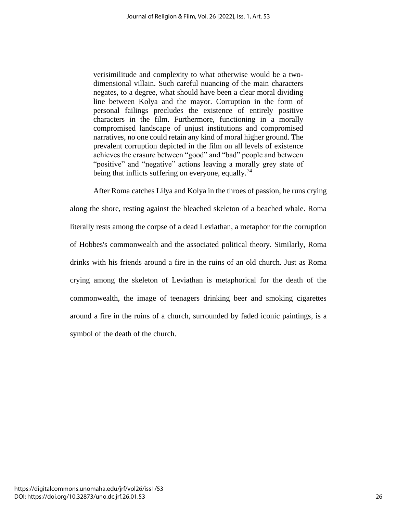verisimilitude and complexity to what otherwise would be a twodimensional villain. Such careful nuancing of the main characters negates, to a degree, what should have been a clear moral dividing line between Kolya and the mayor. Corruption in the form of personal failings precludes the existence of entirely positive characters in the film. Furthermore, functioning in a morally compromised landscape of unjust institutions and compromised narratives, no one could retain any kind of moral higher ground. The prevalent corruption depicted in the film on all levels of existence achieves the erasure between "good" and "bad" people and between "positive" and "negative" actions leaving a morally grey state of being that inflicts suffering on everyone, equally.<sup>74</sup>

After Roma catches Lilya and Kolya in the throes of passion, he runs crying along the shore, resting against the bleached skeleton of a beached whale. Roma literally rests among the corpse of a dead Leviathan, a metaphor for the corruption of Hobbes's commonwealth and the associated political theory. Similarly, Roma drinks with his friends around a fire in the ruins of an old church. Just as Roma crying among the skeleton of Leviathan is metaphorical for the death of the commonwealth, the image of teenagers drinking beer and smoking cigarettes around a fire in the ruins of a church, surrounded by faded iconic paintings, is a symbol of the death of the church.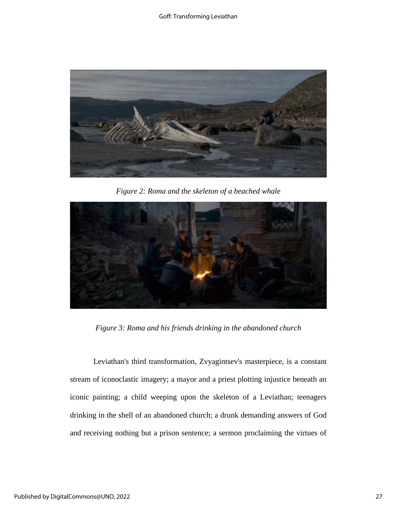

*Figure 2: Roma and the skeleton of a beached whale*



*Figure 3: Roma and his friends drinking in the abandoned church*

Leviathan's third transformation, Zvyagintsev's masterpiece, is a constant stream of iconoclastic imagery; a mayor and a priest plotting injustice beneath an iconic painting; a child weeping upon the skeleton of a Leviathan; teenagers drinking in the shell of an abandoned church; a drunk demanding answers of God and receiving nothing but a prison sentence; a sermon proclaiming the virtues of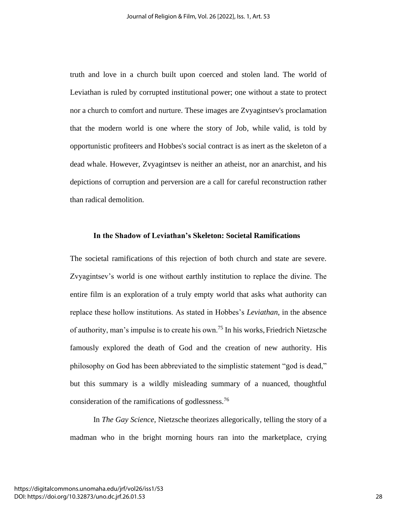truth and love in a church built upon coerced and stolen land. The world of Leviathan is ruled by corrupted institutional power; one without a state to protect nor a church to comfort and nurture. These images are Zvyagintsev's proclamation that the modern world is one where the story of Job, while valid, is told by opportunistic profiteers and Hobbes's social contract is as inert as the skeleton of a dead whale. However, Zvyagintsev is neither an atheist, nor an anarchist, and his depictions of corruption and perversion are a call for careful reconstruction rather than radical demolition.

#### **In the Shadow of Leviathan's Skeleton: Societal Ramifications**

The societal ramifications of this rejection of both church and state are severe. Zvyagintsev's world is one without earthly institution to replace the divine. The entire film is an exploration of a truly empty world that asks what authority can replace these hollow institutions. As stated in Hobbes's *Leviathan*, in the absence of authority, man's impulse is to create his own.<sup>75</sup> In his works, Friedrich Nietzsche famously explored the death of God and the creation of new authority. His philosophy on God has been abbreviated to the simplistic statement "god is dead," but this summary is a wildly misleading summary of a nuanced, thoughtful consideration of the ramifications of godlessness.<sup>76</sup>

In *The Gay Science,* Nietzsche theorizes allegorically, telling the story of a madman who in the bright morning hours ran into the marketplace, crying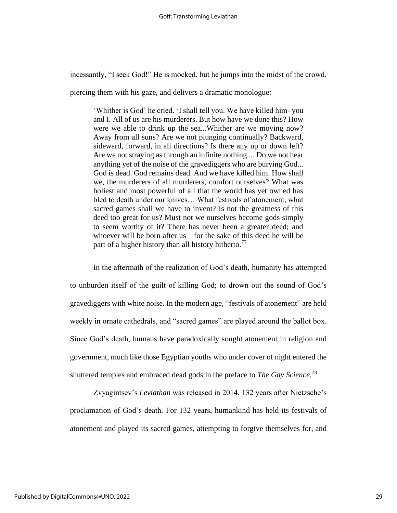incessantly, "I seek God!" He is mocked, but he jumps into the midst of the crowd,

piercing them with his gaze, and delivers a dramatic monologue:

'Whither is God' he cried. 'I shall tell you. We have killed him- you and I. All of us are his murderers. But how have we done this? How were we able to drink up the sea...Whither are we moving now? Away from all suns? Are we not plunging continually? Backward, sideward, forward, in all directions? Is there any up or down left? Are we not straying as through an infinite nothing.... Do we not hear anything yet of the noise of the gravediggers who are burying God... God is dead. God remains dead. And we have killed him. How shall we, the murderers of all murderers, comfort ourselves? What was holiest and most powerful of all that the world has yet owned has bled to death under our knives… What festivals of atonement, what sacred games shall we have to invent? Is not the greatness of this deed too great for us? Must not we ourselves become gods simply to seem worthy of it? There has never been a greater deed; and whoever will be born after us—for the sake of this deed he will be part of a higher history than all history hitherto.<sup>77</sup>

In the aftermath of the realization of God's death, humanity has attempted to unburden itself of the guilt of killing God; to drown out the sound of God's gravediggers with white noise. In the modern age, "festivals of atonement" are held weekly in ornate cathedrals, and "sacred games" are played around the ballot box. Since God's death, humans have paradoxically sought atonement in religion and government, much like those Egyptian youths who under cover of night entered the shuttered temples and embraced dead gods in the preface to *The Gay Science*. 78

Zvyagintsev's *Leviathan* was released in 2014, 132 years after Nietzsche's proclamation of God's death. For 132 years, humankind has held its festivals of atonement and played its sacred games, attempting to forgive themselves for, and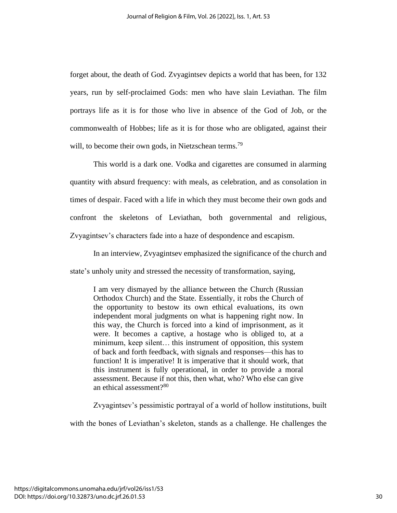forget about, the death of God. Zvyagintsev depicts a world that has been, for 132 years, run by self-proclaimed Gods: men who have slain Leviathan. The film portrays life as it is for those who live in absence of the God of Job, or the commonwealth of Hobbes; life as it is for those who are obligated, against their will, to become their own gods, in Nietzschean terms.<sup>79</sup>

This world is a dark one. Vodka and cigarettes are consumed in alarming quantity with absurd frequency: with meals, as celebration, and as consolation in times of despair. Faced with a life in which they must become their own gods and confront the skeletons of Leviathan, both governmental and religious, Zvyagintsev's characters fade into a haze of despondence and escapism.

In an interview, Zvyagintsev emphasized the significance of the church and state's unholy unity and stressed the necessity of transformation, saying,

I am very dismayed by the alliance between the Church (Russian Orthodox Church) and the State. Essentially, it robs the Church of the opportunity to bestow its own ethical evaluations, its own independent moral judgments on what is happening right now. In this way, the Church is forced into a kind of imprisonment, as it were. It becomes a captive, a hostage who is obliged to, at a minimum, keep silent… this instrument of opposition, this system of back and forth feedback, with signals and responses—this has to function! It is imperative! It is imperative that it should work, that this instrument is fully operational, in order to provide a moral assessment. Because if not this, then what, who? Who else can give an ethical assessment?<sup>80</sup>

Zvyagintsev's pessimistic portrayal of a world of hollow institutions, built

with the bones of Leviathan's skeleton, stands as a challenge. He challenges the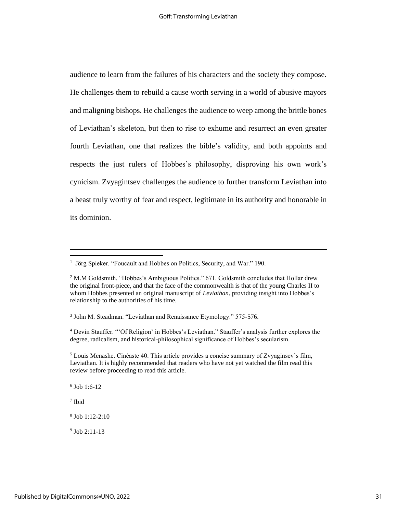audience to learn from the failures of his characters and the society they compose. He challenges them to rebuild a cause worth serving in a world of abusive mayors and maligning bishops. He challenges the audience to weep among the brittle bones of Leviathan's skeleton, but then to rise to exhume and resurrect an even greater fourth Leviathan, one that realizes the bible's validity, and both appoints and respects the just rulers of Hobbes's philosophy, disproving his own work's cynicism. Zvyagintsev challenges the audience to further transform Leviathan into a beast truly worthy of fear and respect, legitimate in its authority and honorable in its dominion.

6 Job 1:6-12

7 Ibid

8 Job 1:12-2:10

9 Job 2:11-13

<sup>&</sup>lt;sup>1</sup> Jörg Spieker. "Foucault and Hobbes on Politics, Security, and War." 190.

<sup>&</sup>lt;sup>2</sup> M.M Goldsmith. "Hobbes's Ambiguous Politics." 671. Goldsmith concludes that Hollar drew the original front-piece, and that the face of the commonwealth is that of the young Charles II to whom Hobbes presented an original manuscript of *Leviathan*, providing insight into Hobbes's relationship to the authorities of his time.

<sup>&</sup>lt;sup>3</sup> John M. Steadman. "Leviathan and Renaissance Etymology." 575-576.

<sup>4</sup> Devin Stauffer. "'Of Religion' in Hobbes's Leviathan." Stauffer's analysis further explores the degree, radicalism, and historical-philosophical significance of Hobbes's secularism.

<sup>5</sup> Louis Menashe. Cinéaste 40. This article provides a concise summary of Zvyaginsev's film, Leviathan. It is highly recommended that readers who have not yet watched the film read this review before proceeding to read this article.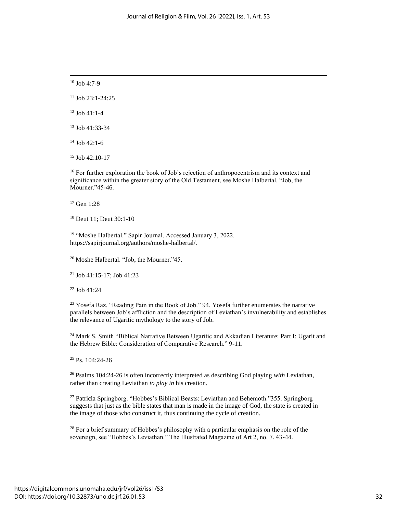$10$  Job 4:7-9

 $11$  Job 23:1-24:25

 $12$  Job 41:1-4

<sup>13</sup> Job 41:33-34

<sup>14</sup> Job 42:1-6

 $15$  Job 42:10-17

<sup>16</sup> For further exploration the book of Job's rejection of anthropocentrism and its context and significance within the greater story of the Old Testament, see Moshe Halbertal. "Job, the Mourner."45-46.

<sup>17</sup> Gen 1:28

<sup>18</sup> Deut 11; Deut 30:1-10

<sup>19</sup> "Moshe Halbertal." Sapir Journal. Accessed January 3, 2022. https://sapirjournal.org/authors/moshe-halbertal/.

<sup>20</sup> Moshe Halbertal. "Job, the Mourner."45.

<sup>21</sup> Job 41:15-17; Job 41:23

<sup>22</sup> Job 41:24

<sup>23</sup> Yosefa Raz. "Reading Pain in the Book of Job." 94. Yosefa further enumerates the narrative parallels between Job's affliction and the description of Leviathan's invulnerability and establishes the relevance of Ugaritic mythology to the story of Job.

<sup>24</sup> Mark S. Smith "Biblical Narrative Between Ugaritic and Akkadian Literature: Part I: Ugarit and the Hebrew Bible: Consideration of Comparative Research." 9-11.

<sup>25</sup> Ps. 104:24-26

<sup>26</sup> Psalms 104:24-26 is often incorrectly interpreted as describing God playing *with* Leviathan, rather than creating Leviathan *to play in* his creation.

<sup>27</sup> Patricia Springborg. "Hobbes's Biblical Beasts: Leviathan and Behemoth."355. Springborg suggests that just as the bible states that man is made in the image of God, the state is created in the image of those who construct it, thus continuing the cycle of creation.

<sup>28</sup> For a brief summary of Hobbes's philosophy with a particular emphasis on the role of the sovereign, see "Hobbes's Leviathan." The Illustrated Magazine of Art 2, no. 7. 43-44.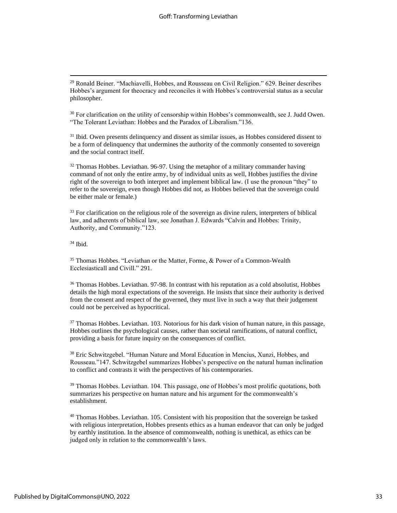<sup>29</sup> Ronald Beiner. "Machiavelli, Hobbes, and Rousseau on Civil Religion." 629. Beiner describes Hobbes's argument for theocracy and reconciles it with Hobbes's controversial status as a secular philosopher.

 $30$  For clarification on the utility of censorship within Hobbes's commonwealth, see J. Judd Owen. "The Tolerant Leviathan: Hobbes and the Paradox of Liberalism."136.

<sup>31</sup> Ibid. Owen presents delinquency and dissent as similar issues, as Hobbes considered dissent to be a form of delinquency that undermines the authority of the commonly consented to sovereign and the social contract itself.

 $32$  Thomas Hobbes. Leviathan. 96-97. Using the metaphor of a military commander having command of not only the entire army, by of individual units as well, Hobbes justifies the divine right of the sovereign to both interpret and implement biblical law. (I use the pronoun "they" to refer to the sovereign, even though Hobbes did not, as Hobbes believed that the sovereign could be either male or female.)

<sup>33</sup> For clarification on the religious role of the sovereign as divine rulers, interpreters of biblical law, and adherents of biblical law, see Jonathan J. Edwards "Calvin and Hobbes: Trinity, Authority, and Community."123.

 $34$  Ibid.

<sup>35</sup> Thomas Hobbes. "Leviathan or the Matter, Forme, & Power of a Common-Wealth Ecclesiasticall and Civill." 291.

<sup>36</sup> Thomas Hobbes. Leviathan. 97-98. In contrast with his reputation as a cold absolutist, Hobbes details the high moral expectations of the sovereign. He insists that since their authority is derived from the consent and respect of the governed, they must live in such a way that their judgement could not be perceived as hypocritical.

 $37$  Thomas Hobbes. Leviathan. 103. Notorious for his dark vision of human nature, in this passage, Hobbes outlines the psychological causes, rather than societal ramifications, of natural conflict, providing a basis for future inquiry on the consequences of conflict.

<sup>38</sup> Eric Schwitzgebel. "Human Nature and Moral Education in Mencius, Xunzi, Hobbes, and Rousseau."147. Schwitzgebel summarizes Hobbes's perspective on the natural human inclination to conflict and contrasts it with the perspectives of his contemporaries.

<sup>39</sup> Thomas Hobbes. Leviathan. 104. This passage, one of Hobbes's most prolific quotations, both summarizes his perspective on human nature and his argument for the commonwealth's establishment.

<sup>40</sup> Thomas Hobbes. Leviathan. 105. Consistent with his proposition that the sovereign be tasked with religious interpretation, Hobbes presents ethics as a human endeavor that can only be judged by earthly institution. In the absence of commonwealth, nothing is unethical, as ethics can be judged only in relation to the commonwealth's laws.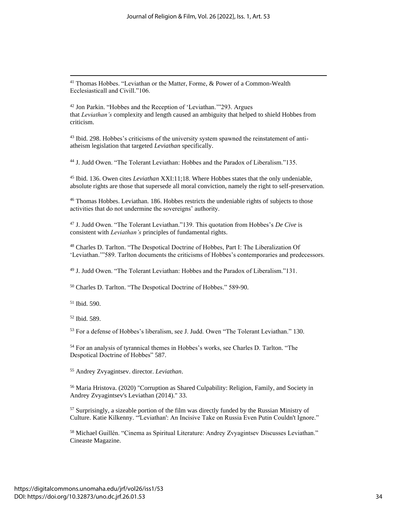<sup>41</sup> Thomas Hobbes. "Leviathan or the Matter, Forme, & Power of a Common-Wealth Ecclesiasticall and Civill."106.

<sup>42</sup> Jon Parkin. "Hobbes and the Reception of 'Leviathan.'"293. Argues that *Leviathan's* complexity and length caused an ambiguity that helped to shield Hobbes from criticism.

<sup>43</sup> Ibid. 298. Hobbes's criticisms of the university system spawned the reinstatement of antiatheism legislation that targeted *Leviathan* specifically.

<sup>44</sup> J. Judd Owen. "The Tolerant Leviathan: Hobbes and the Paradox of Liberalism."135.

<sup>45</sup> Ibid. 136. Owen cites *Leviathan* XXI:11;18. Where Hobbes states that the only undeniable, absolute rights are those that supersede all moral conviction, namely the right to self-preservation.

 $46$  Thomas Hobbes. Leviathan. 186. Hobbes restricts the undeniable rights of subjects to those activities that do not undermine the sovereigns' authority.

<sup>47</sup> J. Judd Owen. "The Tolerant Leviathan."139. This quotation from Hobbes's *De Cive* is consistent with *Leviathan's* principles of fundamental rights.

<sup>48</sup> Charles D. Tarlton. "The Despotical Doctrine of Hobbes, Part I: The Liberalization Of 'Leviathan.'"589. Tarlton documents the criticisms of Hobbes's contemporaries and predecessors.

<sup>49</sup> J. Judd Owen. "The Tolerant Leviathan: Hobbes and the Paradox of Liberalism."131.

<sup>50</sup> Charles D. Tarlton. "The Despotical Doctrine of Hobbes." 589-90.

<sup>51</sup> Ibid. 590.

<sup>52</sup> Ibid. 589.

<sup>53</sup> For a defense of Hobbes's liberalism, see J. Judd. Owen "The Tolerant Leviathan." 130.

<sup>54</sup> For an analysis of tyrannical themes in Hobbes's works, see Charles D. Tarlton. "The Despotical Doctrine of Hobbes" 587.

<sup>55</sup> Andrey Zvyagintsev. director. *Leviathan*.

<sup>56</sup> Maria Hristova. (2020) "Corruption as Shared Culpability: Religion, Family, and Society in Andrey Zvyagintsev's Leviathan (2014)." 33.

 $57$  Surprisingly, a sizeable portion of the film was directly funded by the Russian Ministry of Culture. Katie Kilkenny. "'Leviathan': An Incisive Take on Russia Even Putin Couldn't Ignore."

<sup>58</sup> Michael Guillén. "Cinema as Spiritual Literature: Andrey Zvyagintsev Discusses Leviathan." Cineaste Magazine.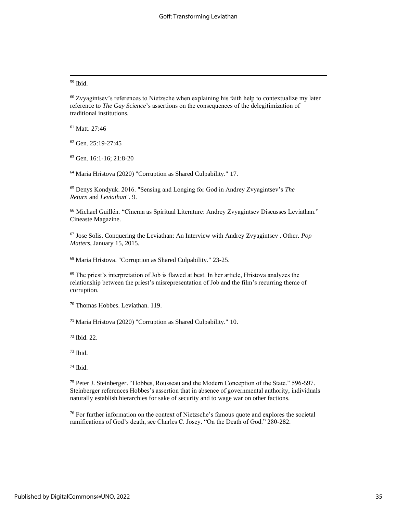<sup>59</sup> Ibid.

<sup>60</sup> Zvyagintsev's references to Nietzsche when explaining his faith help to contextualize my later reference to *The Gay Science*'s assertions on the consequences of the delegitimization of traditional institutions.

<sup>61</sup> Matt. 27:46

<sup>62</sup> Gen. 25:19-27:45

<sup>63</sup> Gen. 16:1-16; 21:8-20

<sup>64</sup> Maria Hristova (2020) "Corruption as Shared Culpability." 17.

<sup>65</sup> Denys Kondyuk. 2016. "Sensing and Longing for God in Andrey Zvyagintsev's *The Return* and *Leviathan*". 9.

<sup>66</sup> Michael Guillén. "Cinema as Spiritual Literature: Andrey Zvyagintsev Discusses Leviathan." Cineaste Magazine.

<sup>67</sup> Jose Solis. Conquering the Leviathan: An Interview with Andrey Zvyagintsev . Other. *Pop Matters*, January 15, 2015.

<sup>68</sup> Maria Hristova. "Corruption as Shared Culpability." 23-25.

 $69$  The priest's interpretation of Job is flawed at best. In her article, Hristova analyzes the relationship between the priest's misrepresentation of Job and the film's recurring theme of corruption.

<sup>70</sup> Thomas Hobbes. Leviathan. 119.

<sup>71</sup> Maria Hristova (2020) "Corruption as Shared Culpability." 10.

<sup>72</sup> Ibid. 22.

<sup>73</sup> Ibid.

<sup>74</sup> Ibid.

<sup>75</sup> Peter J. Steinberger. "Hobbes, Rousseau and the Modern Conception of the State." 596-597. Steinberger references Hobbes's assertion that in absence of governmental authority, individuals naturally establish hierarchies for sake of security and to wage war on other factions.

<sup>76</sup> For further information on the context of Nietzsche's famous quote and explores the societal ramifications of God's death, see Charles C. Josey. "On the Death of God." 280-282.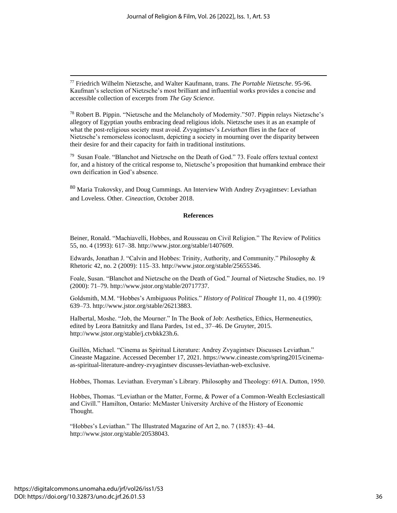<sup>77</sup> Friedrich Wilhelm Nietzsche, and Walter Kaufmann, trans. *The Portable Nietzsche*. 95-96. Kaufman's selection of Nietzsche's most brilliant and influential works provides a concise and accessible collection of excerpts from *The Gay Science.*

<sup>78</sup> Robert B. Pippin. "Nietzsche and the Melancholy of Modernity."507. Pippin relays Nietzsche's allegory of Egyptian youths embracing dead religious idols. Nietzsche uses it as an example of what the post-religious society must avoid. Zvyagintsev's *Leviathan* flies in the face of Nietzsche's remorseless iconoclasm, depicting a society in mourning over the disparity between their desire for and their capacity for faith in traditional institutions.

<sup>79</sup> Susan Foale. "Blanchot and Nietzsche on the Death of God." 73. Foale offers textual context for, and a history of the critical response to, Nietzsche's proposition that humankind embrace their own deification in God's absence.

<sup>80</sup> Maria Trakovsky, and Doug Cummings. An Interview With Andrey Zvyagintsev: Leviathan and Loveless. Other. *Cineaction*, October 2018.

#### **References**

Beiner, Ronald. "Machiavelli, Hobbes, and Rousseau on Civil Religion." The Review of Politics 55, no. 4 (1993): 617–38. http://www.jstor.org/stable/1407609.

Edwards, Jonathan J. "Calvin and Hobbes: Trinity, Authority, and Community." Philosophy & Rhetoric 42, no. 2 (2009): 115–33. http://www.jstor.org/stable/25655346.

Foale, Susan. "Blanchot and Nietzsche on the Death of God." Journal of Nietzsche Studies, no. 19 (2000): 71–79. http://www.jstor.org/stable/20717737.

Goldsmith, M.M. "Hobbes's Ambiguous Politics." *History of Political Thought* 11, no. 4 (1990): 639–73. http://www.jstor.org/stable/26213883.

Halbertal, Moshe. "Job, the Mourner." In The Book of Job: Aesthetics, Ethics, Hermeneutics, edited by Leora Batnitzky and Ilana Pardes, 1st ed., 37–46. De Gruyter, 2015. http://www.jstor.org/stable/j.ctvbkk23h.6.

Guillén, Michael. "Cinema as Spiritual Literature: Andrey Zvyagintsev Discusses Leviathan." Cineaste Magazine. Accessed December 17, 2021. https://www.cineaste.com/spring2015/cinemaas-spiritual-literature-andrey-zvyagintsev discusses-leviathan-web-exclusive.

Hobbes, Thomas. Leviathan. Everyman's Library. Philosophy and Theology: 691A. Dutton, 1950.

Hobbes, Thomas. "Leviathan or the Matter, Forme, & Power of a Common-Wealth Ecclesiasticall and Civill." Hamilton, Ontario: McMaster University Archive of the History of Economic Thought.

"Hobbes's Leviathan." The Illustrated Magazine of Art 2, no. 7 (1853): 43–44. http://www.jstor.org/stable/20538043.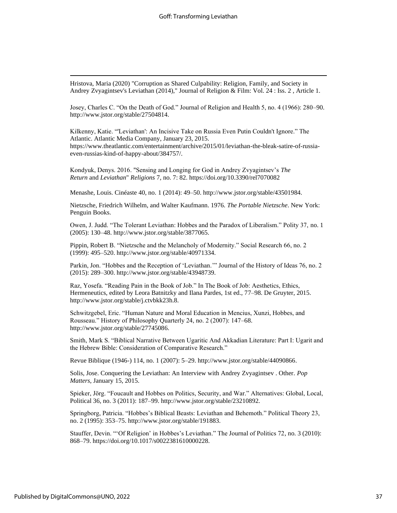Hristova, Maria (2020) "Corruption as Shared Culpability: Religion, Family, and Society in Andrey Zvyagintsev's Leviathan (2014)," Journal of Religion & Film: Vol. 24 : Iss. 2 , Article 1.

Josey, Charles C. "On the Death of God." Journal of Religion and Health 5, no. 4 (1966): 280–90. http://www.jstor.org/stable/27504814.

Kilkenny, Katie. "'Leviathan': An Incisive Take on Russia Even Putin Couldn't Ignore." The Atlantic. Atlantic Media Company, January 23, 2015. https://www.theatlantic.com/entertainment/archive/2015/01/leviathan-the-bleak-satire-of-russiaeven-russias-kind-of-happy-about/384757/.

Kondyuk, Denys. 2016. "Sensing and Longing for God in Andrey Zvyagintsev's *The Return* and *Leviathan*" *Religions* 7, no. 7: 82. https://doi.org/10.3390/rel7070082

Menashe, Louis. Cinéaste 40, no. 1 (2014): 49–50. http://www.jstor.org/stable/43501984.

Nietzsche, Friedrich Wilhelm, and Walter Kaufmann. 1976. *The Portable Nietzsche*. New York: Penguin Books.

Owen, J. Judd. "The Tolerant Leviathan: Hobbes and the Paradox of Liberalism." Polity 37, no. 1 (2005): 130–48. http://www.jstor.org/stable/3877065.

Pippin, Robert B. "Nietzsche and the Melancholy of Modernity." Social Research 66, no. 2 (1999): 495–520. http://www.jstor.org/stable/40971334.

Parkin, Jon. "Hobbes and the Reception of 'Leviathan.'" Journal of the History of Ideas 76, no. 2 (2015): 289–300. http://www.jstor.org/stable/43948739.

Raz, Yosefa. "Reading Pain in the Book of Job." In The Book of Job: Aesthetics, Ethics, Hermeneutics, edited by Leora Batnitzky and Ilana Pardes, 1st ed., 77–98. De Gruyter, 2015. http://www.jstor.org/stable/j.ctvbkk23h.8.

Schwitzgebel, Eric. "Human Nature and Moral Education in Mencius, Xunzi, Hobbes, and Rousseau." History of Philosophy Quarterly 24, no. 2 (2007): 147–68. http://www.jstor.org/stable/27745086.

Smith, Mark S. "Biblical Narrative Between Ugaritic And Akkadian Literature: Part I: Ugarit and the Hebrew Bible: Consideration of Comparative Research."

Revue Biblique (1946-) 114, no. 1 (2007): 5–29. http://www.jstor.org/stable/44090866.

Solis, Jose. Conquering the Leviathan: An Interview with Andrey Zvyagintsev . Other. *Pop Matters*, January 15, 2015.

Spieker, Jörg. "Foucault and Hobbes on Politics, Security, and War." Alternatives: Global, Local, Political 36, no. 3 (2011): 187–99. http://www.jstor.org/stable/23210892.

Springborg, Patricia. "Hobbes's Biblical Beasts: Leviathan and Behemoth." Political Theory 23, no. 2 (1995): 353–75. http://www.jstor.org/stable/191883.

Stauffer, Devin. "'Of Religion' in Hobbes's Leviathan." The Journal of Politics 72, no. 3 (2010): 868–79. https://doi.org/10.1017/s0022381610000228.